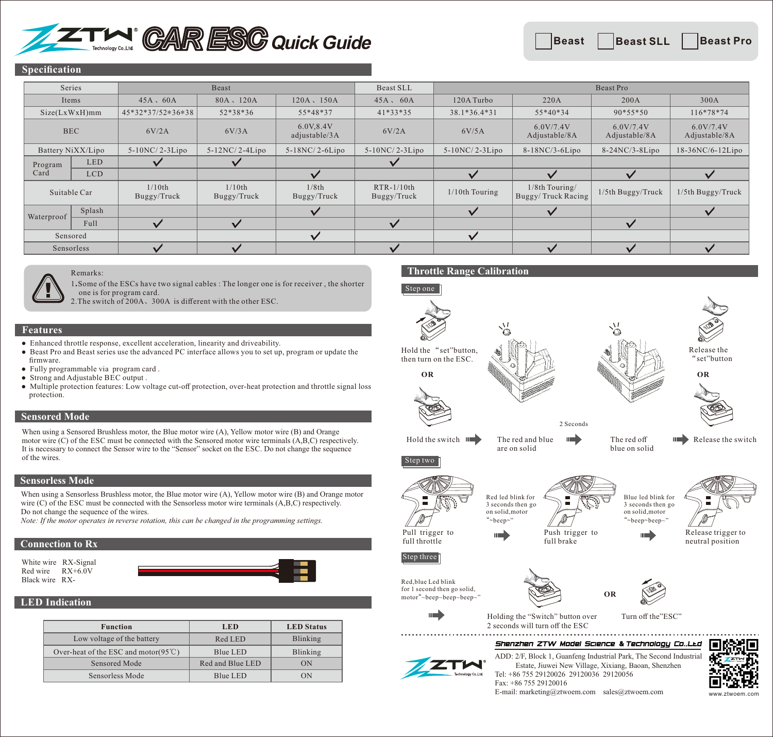# $\Gamma$ *M*  $^{\circ}$  *CAR ESG* Quick Guide

#### **Specification**

| Series          |                   | Beast                    |                       |                             | Beast SLL                   | Beast Pro        |                                      |                            |                            |
|-----------------|-------------------|--------------------------|-----------------------|-----------------------------|-----------------------------|------------------|--------------------------------------|----------------------------|----------------------------|
| Items           |                   | $45A \cdot 60A$          | 80A, 120A             | $120A \cdot 150A$           | $45A$ , $60A$               | 120A Turbo       | 220A                                 | 200A                       | 300A                       |
| Size(LxWxH)mm   |                   | 45*32*37/52*36*38        | 52*38*36              | 55*48*37                    | $41*33*35$                  | 38.1*36.4*31     | $55*40*34$                           | $90*55*50$                 | $116*78*74$                |
| <b>BEC</b>      |                   | 6V/2A                    | 6V/3A                 | 6.0V, 8.4V<br>adjustable/3A | 6V/2A                       | 6V/5A            | 6.0V/7.4V<br>Adjustable/8A           | 6.0V/7.4V<br>Adjustable/8A | 6.0V/7.4V<br>Adjustable/8A |
|                 | Battery NiXX/Lipo | $5-10NC/2-3Lipo$         | $5-12NC/2-4Lipo$      | $5-18NC/2-6Lipo$            | $5-10NC/2-3Lipo$            | $5-10NC/2-3Lipo$ | $8-18NC/3-6Lipo$                     | $8-24NC/3-8Lipo$           | $18-36NC/6-12Lipo$         |
| Program<br>Card | <b>LED</b>        |                          |                       |                             | $\checkmark$                |                  |                                      |                            |                            |
|                 | <b>LCD</b>        |                          |                       |                             |                             | $\checkmark$     |                                      | $\overline{\phantom{a}}$   | $\checkmark$               |
| Suitable Car    |                   | $1/10$ th<br>Buggy/Truck | 1/10th<br>Buggy/Truck | 1/8th<br>Buggy/Truck        | $RTR-1/10th$<br>Buggy/Truck | 1/10th Touring   | 1/8th Touring/<br>Buggy/Truck Racing | $1/5$ th Buggy/Truck       | $1/5$ th Buggy/Truck       |
| Waterproof      | Splash            |                          |                       |                             |                             | $\checkmark$     | $\checkmark$                         |                            | $\checkmark$               |
|                 | Full              |                          |                       |                             | $\checkmark$                |                  |                                      | $\checkmark$               |                            |
| Sensored        |                   |                          |                       | $\checkmark$                |                             | $\checkmark$     |                                      |                            |                            |
| Sensorless      |                   |                          |                       |                             | ✓                           |                  | $\overline{\mathbf{v}}$              | $\checkmark$               |                            |



Remarks: 1**.**Some of the ESCs have two signal cables : The longer one is for receiver , the shorter

one is for program card.

2.The switch of 200A、300A is different with the other ESC.

#### **Features**

- Enhanced throttle response, excellent acceleration, linearity and driveability.
- Beast Pro and Beast series use the advanced PC interface allows you to set up, program or update the firmware.
- Fully programmable via program card .
- Strong and Adjustable BEC output .
- Multiple protection features: Low voltage cut-off protection, over-heat protection and throttle signal loss protection.

#### **Sensored Mode**

When using a Sensored Brushless motor, the Blue motor wire (A), Yellow motor wire (B) and Orange motor wire (C) of the ESC must be connected with the Sensored motor wire terminals (A,B,C) respectively. It is necessary to connect the Sensor wire to the "Sensor" socket on the ESC. Do not change the sequence of the wires.

#### **Sensorless Mode**

When using a Sensorless Brushless motor, the Blue motor wire (A), Yellow motor wire (B) and Orange motor wire (C) of the ESC must be connected with the Sensorless motor wire terminals (A,B,C) respectively. Do not change the sequence of the wires.

*Note: If the motor operates in reverse rotation, this can be changed in the programming settings.*

#### **Connection to Rx**

White wire RX-Signal Red wire RX+6.0V Black wire RX-

#### **LED Indication**

| <b>Function</b>                                 | <b>LED</b>       | <b>LED</b> Status |  |
|-------------------------------------------------|------------------|-------------------|--|
| Low voltage of the battery                      | Red LED          | Blinking          |  |
| Over-heat of the ESC and motor( $95^{\circ}$ C) | Blue LED         | Blinking          |  |
| Sensored Mode                                   | Red and Blue LED | ON                |  |
| Sensorless Mode                                 | Blue LED         | ON                |  |

## **Throttle Range Calibration**



Tel: +86 755 29120026 29120036 29120056

E-mail: marketing@ztwoem.com sales@ztwoem.com

Fax: +86 755 29120016

m.com